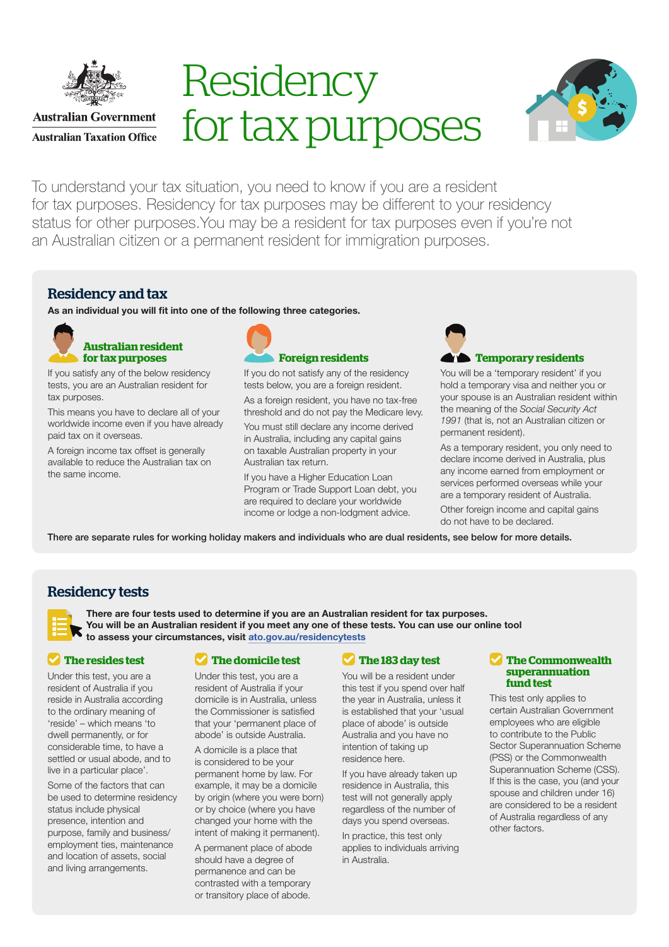

**Australian Government Australian Taxation Office** 

# **Residency** for tax purposes



To understand your tax situation, you need to know if you are a resident for tax purposes. Residency for tax purposes may be different to your residency status for other purposes.You may be a resident for tax purposes even if you're not an Australian citizen or a permanent resident for immigration purposes.

# Residency and tax

As an individual you will fit into one of the following three categories.



If you satisfy any of the below residency tests, you are an Australian resident for tax purposes.

This means you have to declare all of your worldwide income even if you have already paid tax on it overseas.

A foreign income tax offset is generally available to reduce the Australian tax on the same income.



If you do not satisfy any of the residency tests below, you are a foreign resident.

As a foreign resident, you have no tax-free threshold and do not pay the Medicare levy.

You must still declare any income derived in Australia, including any capital gains on taxable Australian property in your Australian tax return.

If you have a Higher Education Loan Program or Trade Support Loan debt, you are required to declare your worldwide income or lodge a non-lodgment advice.



You will be a 'temporary resident' if you hold a temporary visa and neither you or your spouse is an Australian resident within the meaning of the *Social Security Act 1991* (that is, not an Australian citizen or permanent resident).

As a temporary resident, you only need to declare income derived in Australia, plus any income earned from employment or services performed overseas while your are a temporary resident of Australia.

Other foreign income and capital gains do not have to be declared.

There are separate rules for working holiday makers and individuals who are dual residents, see below for more details.

## Residency tests

There are four tests used to determine if you are an Australian resident for tax purposes. You will be an Australian resident if you meet any one of these tests. You can use our online tool to assess your circumstances, visit [ato.gov.au/residencytests](http://ato.gov.au/residencytests)

#### **The resides test**

Under this test, you are a resident of Australia if you reside in Australia according to the ordinary meaning of 'reside' – which means 'to dwell permanently, or for considerable time, to have a settled or usual abode, and to live in a particular place'.

Some of the factors that can be used to determine residency status include physical presence, intention and purpose, family and business/ employment ties, maintenance and location of assets, social and living arrangements.

#### **The domicile test**

Under this test, you are a resident of Australia if your domicile is in Australia, unless the Commissioner is satisfied that your 'permanent place of abode' is outside Australia.

A domicile is a place that is considered to be your permanent home by law. For example, it may be a domicile by origin (where you were born) or by choice (where you have changed your home with the intent of making it permanent).

A permanent place of abode should have a degree of permanence and can be contrasted with a temporary or transitory place of abode.

## **The 183 day test**

You will be a resident under this test if you spend over half the year in Australia, unless it is established that your 'usual place of abode' is outside Australia and you have no intention of taking up residence here.

If you have already taken up residence in Australia, this test will not generally apply regardless of the number of days you spend overseas. In practice, this test only applies to individuals arriving in Australia.

#### **The Commonwealth superannuation fund test**

This test only applies to certain Australian Government employees who are eligible to contribute to the Public Sector Superannuation Scheme (PSS) or the Commonwealth Superannuation Scheme (CSS). If this is the case, you (and your spouse and children under 16) are considered to be a resident of Australia regardless of any other factors.